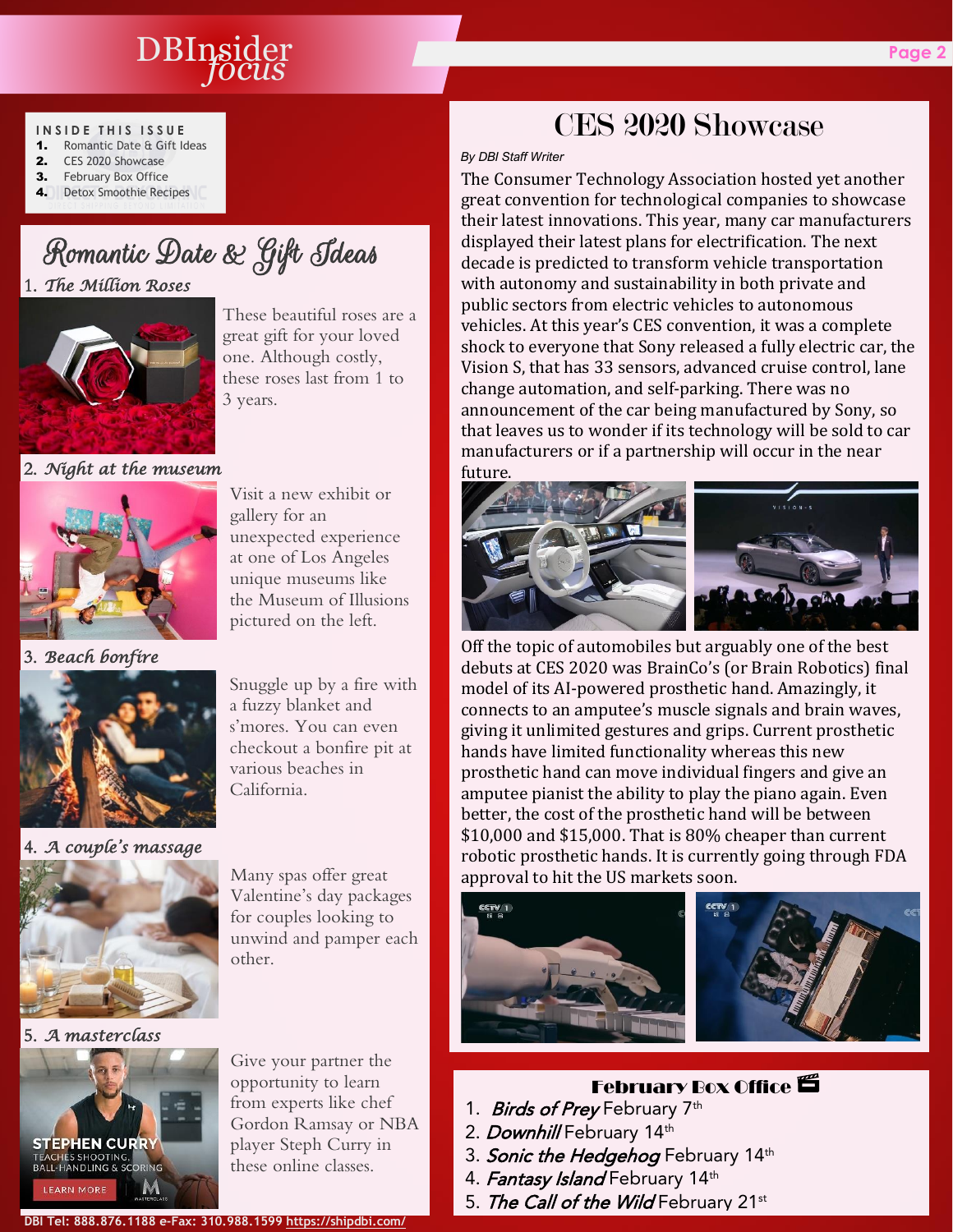## DBInsider **Page 2** *focus*

#### **I N S I D E T H I S I S S U E**

- 1. Romantic Date & Gift Ideas 2. CES 2020 Showcase
- 3. February Box Office
- 4. Detox Smoothie Recipes

# Romantic Date & Gift Ideas 1. *The Million Roses*

These beautiful roses are a great gift for your loved one. Although costly, these roses last from 1 to 3 years.

#### 2. *Night at the museum*



3. *Beach bonfire*

ŗ



Snuggle up by a fire with a fuzzy blanket and s'mores. You can even checkout a bonfire pit at various beaches in California.

#### 4. *A couple's massage*



Many spas offer great Valentine's day packages for couples looking to unwind and pamper each other.

5. *A masterclass*



Give your partner the opportunity to learn from experts like chef Gordon Ramsay or NBA player Steph Curry in these online classes.

## *By DBI Staff Writer* The Consumer Technology Association hosted yet another

great convention for technological companies to showcase their latest innovations. This year, many car manufacturers displayed their latest plans for electrification. The next decade is predicted to transform vehicle transportation with autonomy and sustainability in both private and public sectors from electric vehicles to autonomous vehicles. At this year's CES convention, it was a complete shock to everyone that Sony released a fully electric car, the Vision S, that has 33 sensors, advanced cruise control, lane change automation, and self-parking. There was no announcement of the car being manufactured by Sony, so that leaves us to wonder if its technology will be sold to car manufacturers or if a partnership will occur in the near future.

CES 2020 Showcase



Off the topic of automobiles but arguably one of the best debuts at CES 2020 was BrainCo's (or Brain Robotics) final model of its AI-powered prosthetic hand. Amazingly, it connects to an amputee's muscle signals and brain waves, giving it unlimited gestures and grips. Current prosthetic hands have limited functionality whereas this new prosthetic hand can move individual fingers and give an amputee pianist the ability to play the piano again. Even better, the cost of the prosthetic hand will be between \$10,000 and \$15,000. That is 80% cheaper than current robotic prosthetic hands. It is currently going through FDA approval to hit the US markets soon.





## **February Box Office E**

- 1. *Birds of Prey* February 7<sup>th</sup>
- 2. *Downhill* February 14th
- 3. Sonic the Hedgehog February 14th
- 4. Fantasy Island February 14th
- 5. The Call of the Wild February 21st